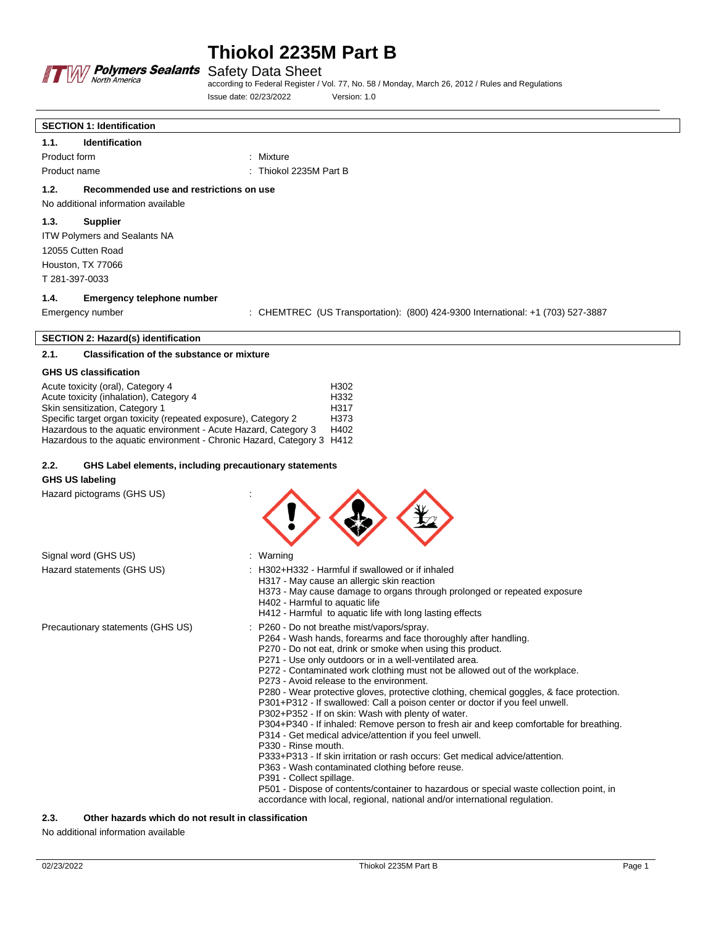

according to Federal Register / Vol. 77, No. 58 / Monday, March 26, 2012 / Rules and Regulations Issue date: 02/23/2022 Version: 1.0

## **SECTION 1: Identification**

**1.1. Identification** Product form : Mixture : Mixture Product name : Thiokol 2235M Part B

## **1.2. Recommended use and restrictions on use**

No additional information available

#### **1.3. Supplier**

ITW Polymers and Sealants NA 12055 Cutten Road Houston, TX 77066 T 281-397-0033

#### **1.4. Emergency telephone number**

Emergency number : CHEMTREC (US Transportation): (800) 424-9300 International: +1 (703) 527-3887

#### **SECTION 2: Hazard(s) identification**

## **2.1. Classification of the substance or mixture**

#### **GHS US classification**

| Acute toxicity (oral), Category 4                                      | H <sub>302</sub>  |
|------------------------------------------------------------------------|-------------------|
| Acute toxicity (inhalation), Category 4                                | H332              |
| Skin sensitization, Category 1                                         | H317              |
| Specific target organ toxicity (repeated exposure), Category 2         | H <sub>3</sub> 73 |
| Hazardous to the aquatic environment - Acute Hazard, Category 3        | H402              |
| Hazardous to the aguatic environment - Chronic Hazard, Category 3 H412 |                   |

#### **2.2. GHS Label elements, including precautionary statements**

#### **GHS US labeling**

Hazard pictograms (GHS US) :

| Signal word (GHS US)              | : Warning                                                                                                                                                                                                                                                                                                                                                                                                                                                                                                                                                                                                                                                                                                                                                                                                                                                                                                                                                                                                                                |
|-----------------------------------|------------------------------------------------------------------------------------------------------------------------------------------------------------------------------------------------------------------------------------------------------------------------------------------------------------------------------------------------------------------------------------------------------------------------------------------------------------------------------------------------------------------------------------------------------------------------------------------------------------------------------------------------------------------------------------------------------------------------------------------------------------------------------------------------------------------------------------------------------------------------------------------------------------------------------------------------------------------------------------------------------------------------------------------|
| Hazard statements (GHS US)        | : H302+H332 - Harmful if swallowed or if inhaled<br>H317 - May cause an allergic skin reaction<br>H373 - May cause damage to organs through prolonged or repeated exposure<br>H402 - Harmful to aquatic life<br>H412 - Harmful to aquatic life with long lasting effects                                                                                                                                                                                                                                                                                                                                                                                                                                                                                                                                                                                                                                                                                                                                                                 |
| Precautionary statements (GHS US) | : P260 - Do not breathe mist/vapors/spray.<br>P264 - Wash hands, forearms and face thoroughly after handling.<br>P270 - Do not eat, drink or smoke when using this product.<br>P271 - Use only outdoors or in a well-ventilated area.<br>P272 - Contaminated work clothing must not be allowed out of the workplace.<br>P273 - Avoid release to the environment.<br>P280 - Wear protective gloves, protective clothing, chemical goggles, & face protection.<br>P301+P312 - If swallowed: Call a poison center or doctor if you feel unwell.<br>P302+P352 - If on skin: Wash with plenty of water.<br>P304+P340 - If inhaled: Remove person to fresh air and keep comfortable for breathing.<br>P314 - Get medical advice/attention if you feel unwell.<br>P330 - Rinse mouth.<br>P333+P313 - If skin irritation or rash occurs: Get medical advice/attention.<br>P363 - Wash contaminated clothing before reuse.<br>P391 - Collect spillage.<br>P501 - Dispose of contents/container to hazardous or special waste collection point, in |

accordance with local, regional, national and/or international regulation.

### **2.3. Other hazards which do not result in classification**

No additional information available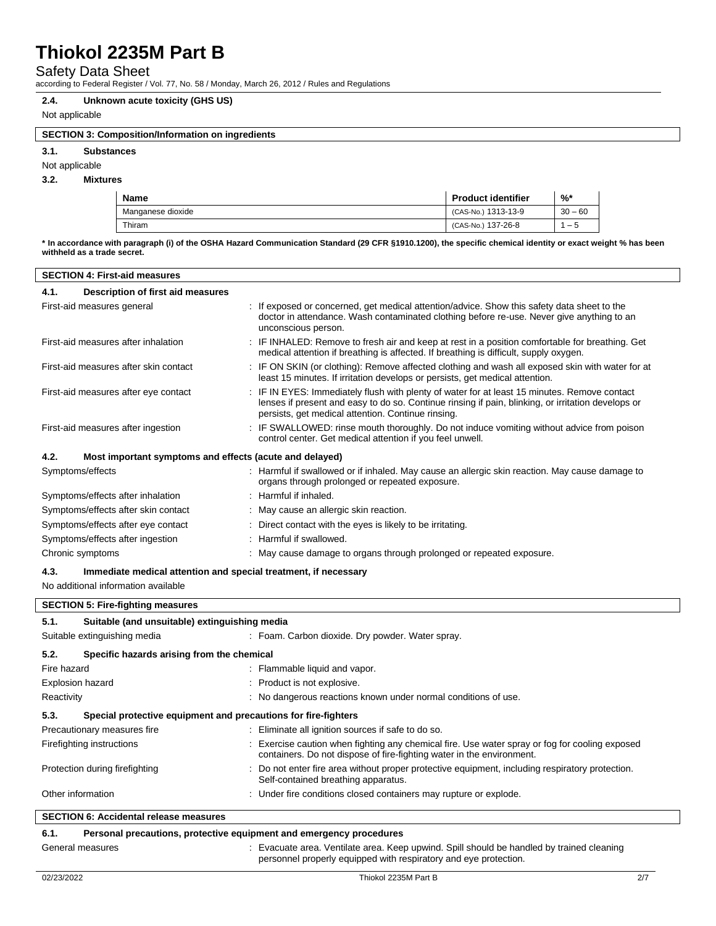## Safety Data Sheet

according to Federal Register / Vol. 77, No. 58 / Monday, March 26, 2012 / Rules and Regulations

#### **2.4. Unknown acute toxicity (GHS US)**

## Not applicable

## **SECTION 3: Composition/Information on ingredients**

**3.1. Substances**

Not applicable

## **3.2. Mixtures**

| <b>Name</b>       | <b>Product identifier</b> | $\%$      |
|-------------------|---------------------------|-----------|
| Manganese dioxide | (CAS-No.) 1313-13-9       | $30 - 60$ |
| Thiram            | (CAS-No.) 137-26-8        | - 5       |

**\* In accordance with paragraph (i) of the OSHA Hazard Communication Standard (29 CFR §1910.1200), the specific chemical identity or exact weight % has been withheld as a trade secret.**

| 4.1.<br><b>Description of first aid measures</b><br>: If exposed or concerned, get medical attention/advice. Show this safety data sheet to the<br>First-aid measures general<br>doctor in attendance. Wash contaminated clothing before re-use. Never give anything to an<br>unconscious person.<br>First-aid measures after inhalation<br>IF INHALED: Remove to fresh air and keep at rest in a position comfortable for breathing. Get<br>medical attention if breathing is affected. If breathing is difficult, supply oxygen.<br>: IF ON SKIN (or clothing): Remove affected clothing and wash all exposed skin with water for at<br>First-aid measures after skin contact<br>least 15 minutes. If irritation develops or persists, get medical attention.<br>: IF IN EYES: Immediately flush with plenty of water for at least 15 minutes. Remove contact<br>First-aid measures after eye contact<br>lenses if present and easy to do so. Continue rinsing if pain, blinking, or irritation develops or<br>persists, get medical attention. Continue rinsing.<br>: IF SWALLOWED: rinse mouth thoroughly. Do not induce vomiting without advice from poison<br>First-aid measures after ingestion<br>control center. Get medical attention if you feel unwell.<br>4.2.<br>Most important symptoms and effects (acute and delayed)<br>Symptoms/effects<br>: Harmful if swallowed or if inhaled. May cause an allergic skin reaction. May cause damage to<br>organs through prolonged or repeated exposure.<br>Symptoms/effects after inhalation<br>: Harmful if inhaled.<br>Symptoms/effects after skin contact<br>: May cause an allergic skin reaction.<br>Symptoms/effects after eye contact<br>: Direct contact with the eyes is likely to be irritating.<br>Symptoms/effects after ingestion<br>: Harmful if swallowed.<br>Chronic symptoms<br>: May cause damage to organs through prolonged or repeated exposure.<br>4.3.<br>Immediate medical attention and special treatment, if necessary<br>No additional information available<br><b>SECTION 5: Fire-fighting measures</b><br>5.1.<br>Suitable (and unsuitable) extinguishing media<br>: Foam. Carbon dioxide. Dry powder. Water spray.<br>5.2.<br>Specific hazards arising from the chemical<br>Fire hazard<br>: Flammable liquid and vapor.<br>Explosion hazard<br>Product is not explosive.<br>: No dangerous reactions known under normal conditions of use.<br>Reactivity<br>5.3.<br>Special protective equipment and precautions for fire-fighters<br>Precautionary measures fire<br>: Eliminate all ignition sources if safe to do so.<br>Exercise caution when fighting any chemical fire. Use water spray or fog for cooling exposed<br>Firefighting instructions<br>containers. Do not dispose of fire-fighting water in the environment.<br>: Do not enter fire area without proper protective equipment, including respiratory protection.<br>Protection during firefighting<br>Self-contained breathing apparatus.<br>Other information<br>: Under fire conditions closed containers may rupture or explode.<br><b>SECTION 6: Accidental release measures</b> | <b>SECTION 4: First-aid measures</b> |  |  |  |  |
|--------------------------------------------------------------------------------------------------------------------------------------------------------------------------------------------------------------------------------------------------------------------------------------------------------------------------------------------------------------------------------------------------------------------------------------------------------------------------------------------------------------------------------------------------------------------------------------------------------------------------------------------------------------------------------------------------------------------------------------------------------------------------------------------------------------------------------------------------------------------------------------------------------------------------------------------------------------------------------------------------------------------------------------------------------------------------------------------------------------------------------------------------------------------------------------------------------------------------------------------------------------------------------------------------------------------------------------------------------------------------------------------------------------------------------------------------------------------------------------------------------------------------------------------------------------------------------------------------------------------------------------------------------------------------------------------------------------------------------------------------------------------------------------------------------------------------------------------------------------------------------------------------------------------------------------------------------------------------------------------------------------------------------------------------------------------------------------------------------------------------------------------------------------------------------------------------------------------------------------------------------------------------------------------------------------------------------------------------------------------------------------------------------------------------------------------------------------------------------------------------------------------------------------------------------------------------------------------------------------------------------------------------------------------------------------------------------------------------------------------------------------------------------------------------------------------------------------------------------------------------------------------------------------------------------------------------------------------------------------------------------------------------------------------------------------------------------------------------------------------------------------------|--------------------------------------|--|--|--|--|
|                                                                                                                                                                                                                                                                                                                                                                                                                                                                                                                                                                                                                                                                                                                                                                                                                                                                                                                                                                                                                                                                                                                                                                                                                                                                                                                                                                                                                                                                                                                                                                                                                                                                                                                                                                                                                                                                                                                                                                                                                                                                                                                                                                                                                                                                                                                                                                                                                                                                                                                                                                                                                                                                                                                                                                                                                                                                                                                                                                                                                                                                                                                                            |                                      |  |  |  |  |
|                                                                                                                                                                                                                                                                                                                                                                                                                                                                                                                                                                                                                                                                                                                                                                                                                                                                                                                                                                                                                                                                                                                                                                                                                                                                                                                                                                                                                                                                                                                                                                                                                                                                                                                                                                                                                                                                                                                                                                                                                                                                                                                                                                                                                                                                                                                                                                                                                                                                                                                                                                                                                                                                                                                                                                                                                                                                                                                                                                                                                                                                                                                                            |                                      |  |  |  |  |
|                                                                                                                                                                                                                                                                                                                                                                                                                                                                                                                                                                                                                                                                                                                                                                                                                                                                                                                                                                                                                                                                                                                                                                                                                                                                                                                                                                                                                                                                                                                                                                                                                                                                                                                                                                                                                                                                                                                                                                                                                                                                                                                                                                                                                                                                                                                                                                                                                                                                                                                                                                                                                                                                                                                                                                                                                                                                                                                                                                                                                                                                                                                                            |                                      |  |  |  |  |
|                                                                                                                                                                                                                                                                                                                                                                                                                                                                                                                                                                                                                                                                                                                                                                                                                                                                                                                                                                                                                                                                                                                                                                                                                                                                                                                                                                                                                                                                                                                                                                                                                                                                                                                                                                                                                                                                                                                                                                                                                                                                                                                                                                                                                                                                                                                                                                                                                                                                                                                                                                                                                                                                                                                                                                                                                                                                                                                                                                                                                                                                                                                                            |                                      |  |  |  |  |
|                                                                                                                                                                                                                                                                                                                                                                                                                                                                                                                                                                                                                                                                                                                                                                                                                                                                                                                                                                                                                                                                                                                                                                                                                                                                                                                                                                                                                                                                                                                                                                                                                                                                                                                                                                                                                                                                                                                                                                                                                                                                                                                                                                                                                                                                                                                                                                                                                                                                                                                                                                                                                                                                                                                                                                                                                                                                                                                                                                                                                                                                                                                                            |                                      |  |  |  |  |
|                                                                                                                                                                                                                                                                                                                                                                                                                                                                                                                                                                                                                                                                                                                                                                                                                                                                                                                                                                                                                                                                                                                                                                                                                                                                                                                                                                                                                                                                                                                                                                                                                                                                                                                                                                                                                                                                                                                                                                                                                                                                                                                                                                                                                                                                                                                                                                                                                                                                                                                                                                                                                                                                                                                                                                                                                                                                                                                                                                                                                                                                                                                                            |                                      |  |  |  |  |
|                                                                                                                                                                                                                                                                                                                                                                                                                                                                                                                                                                                                                                                                                                                                                                                                                                                                                                                                                                                                                                                                                                                                                                                                                                                                                                                                                                                                                                                                                                                                                                                                                                                                                                                                                                                                                                                                                                                                                                                                                                                                                                                                                                                                                                                                                                                                                                                                                                                                                                                                                                                                                                                                                                                                                                                                                                                                                                                                                                                                                                                                                                                                            |                                      |  |  |  |  |
|                                                                                                                                                                                                                                                                                                                                                                                                                                                                                                                                                                                                                                                                                                                                                                                                                                                                                                                                                                                                                                                                                                                                                                                                                                                                                                                                                                                                                                                                                                                                                                                                                                                                                                                                                                                                                                                                                                                                                                                                                                                                                                                                                                                                                                                                                                                                                                                                                                                                                                                                                                                                                                                                                                                                                                                                                                                                                                                                                                                                                                                                                                                                            |                                      |  |  |  |  |
|                                                                                                                                                                                                                                                                                                                                                                                                                                                                                                                                                                                                                                                                                                                                                                                                                                                                                                                                                                                                                                                                                                                                                                                                                                                                                                                                                                                                                                                                                                                                                                                                                                                                                                                                                                                                                                                                                                                                                                                                                                                                                                                                                                                                                                                                                                                                                                                                                                                                                                                                                                                                                                                                                                                                                                                                                                                                                                                                                                                                                                                                                                                                            |                                      |  |  |  |  |
|                                                                                                                                                                                                                                                                                                                                                                                                                                                                                                                                                                                                                                                                                                                                                                                                                                                                                                                                                                                                                                                                                                                                                                                                                                                                                                                                                                                                                                                                                                                                                                                                                                                                                                                                                                                                                                                                                                                                                                                                                                                                                                                                                                                                                                                                                                                                                                                                                                                                                                                                                                                                                                                                                                                                                                                                                                                                                                                                                                                                                                                                                                                                            |                                      |  |  |  |  |
|                                                                                                                                                                                                                                                                                                                                                                                                                                                                                                                                                                                                                                                                                                                                                                                                                                                                                                                                                                                                                                                                                                                                                                                                                                                                                                                                                                                                                                                                                                                                                                                                                                                                                                                                                                                                                                                                                                                                                                                                                                                                                                                                                                                                                                                                                                                                                                                                                                                                                                                                                                                                                                                                                                                                                                                                                                                                                                                                                                                                                                                                                                                                            |                                      |  |  |  |  |
|                                                                                                                                                                                                                                                                                                                                                                                                                                                                                                                                                                                                                                                                                                                                                                                                                                                                                                                                                                                                                                                                                                                                                                                                                                                                                                                                                                                                                                                                                                                                                                                                                                                                                                                                                                                                                                                                                                                                                                                                                                                                                                                                                                                                                                                                                                                                                                                                                                                                                                                                                                                                                                                                                                                                                                                                                                                                                                                                                                                                                                                                                                                                            |                                      |  |  |  |  |
|                                                                                                                                                                                                                                                                                                                                                                                                                                                                                                                                                                                                                                                                                                                                                                                                                                                                                                                                                                                                                                                                                                                                                                                                                                                                                                                                                                                                                                                                                                                                                                                                                                                                                                                                                                                                                                                                                                                                                                                                                                                                                                                                                                                                                                                                                                                                                                                                                                                                                                                                                                                                                                                                                                                                                                                                                                                                                                                                                                                                                                                                                                                                            |                                      |  |  |  |  |
|                                                                                                                                                                                                                                                                                                                                                                                                                                                                                                                                                                                                                                                                                                                                                                                                                                                                                                                                                                                                                                                                                                                                                                                                                                                                                                                                                                                                                                                                                                                                                                                                                                                                                                                                                                                                                                                                                                                                                                                                                                                                                                                                                                                                                                                                                                                                                                                                                                                                                                                                                                                                                                                                                                                                                                                                                                                                                                                                                                                                                                                                                                                                            |                                      |  |  |  |  |
|                                                                                                                                                                                                                                                                                                                                                                                                                                                                                                                                                                                                                                                                                                                                                                                                                                                                                                                                                                                                                                                                                                                                                                                                                                                                                                                                                                                                                                                                                                                                                                                                                                                                                                                                                                                                                                                                                                                                                                                                                                                                                                                                                                                                                                                                                                                                                                                                                                                                                                                                                                                                                                                                                                                                                                                                                                                                                                                                                                                                                                                                                                                                            |                                      |  |  |  |  |
|                                                                                                                                                                                                                                                                                                                                                                                                                                                                                                                                                                                                                                                                                                                                                                                                                                                                                                                                                                                                                                                                                                                                                                                                                                                                                                                                                                                                                                                                                                                                                                                                                                                                                                                                                                                                                                                                                                                                                                                                                                                                                                                                                                                                                                                                                                                                                                                                                                                                                                                                                                                                                                                                                                                                                                                                                                                                                                                                                                                                                                                                                                                                            |                                      |  |  |  |  |
|                                                                                                                                                                                                                                                                                                                                                                                                                                                                                                                                                                                                                                                                                                                                                                                                                                                                                                                                                                                                                                                                                                                                                                                                                                                                                                                                                                                                                                                                                                                                                                                                                                                                                                                                                                                                                                                                                                                                                                                                                                                                                                                                                                                                                                                                                                                                                                                                                                                                                                                                                                                                                                                                                                                                                                                                                                                                                                                                                                                                                                                                                                                                            | Suitable extinguishing media         |  |  |  |  |
|                                                                                                                                                                                                                                                                                                                                                                                                                                                                                                                                                                                                                                                                                                                                                                                                                                                                                                                                                                                                                                                                                                                                                                                                                                                                                                                                                                                                                                                                                                                                                                                                                                                                                                                                                                                                                                                                                                                                                                                                                                                                                                                                                                                                                                                                                                                                                                                                                                                                                                                                                                                                                                                                                                                                                                                                                                                                                                                                                                                                                                                                                                                                            |                                      |  |  |  |  |
|                                                                                                                                                                                                                                                                                                                                                                                                                                                                                                                                                                                                                                                                                                                                                                                                                                                                                                                                                                                                                                                                                                                                                                                                                                                                                                                                                                                                                                                                                                                                                                                                                                                                                                                                                                                                                                                                                                                                                                                                                                                                                                                                                                                                                                                                                                                                                                                                                                                                                                                                                                                                                                                                                                                                                                                                                                                                                                                                                                                                                                                                                                                                            |                                      |  |  |  |  |
|                                                                                                                                                                                                                                                                                                                                                                                                                                                                                                                                                                                                                                                                                                                                                                                                                                                                                                                                                                                                                                                                                                                                                                                                                                                                                                                                                                                                                                                                                                                                                                                                                                                                                                                                                                                                                                                                                                                                                                                                                                                                                                                                                                                                                                                                                                                                                                                                                                                                                                                                                                                                                                                                                                                                                                                                                                                                                                                                                                                                                                                                                                                                            |                                      |  |  |  |  |
|                                                                                                                                                                                                                                                                                                                                                                                                                                                                                                                                                                                                                                                                                                                                                                                                                                                                                                                                                                                                                                                                                                                                                                                                                                                                                                                                                                                                                                                                                                                                                                                                                                                                                                                                                                                                                                                                                                                                                                                                                                                                                                                                                                                                                                                                                                                                                                                                                                                                                                                                                                                                                                                                                                                                                                                                                                                                                                                                                                                                                                                                                                                                            |                                      |  |  |  |  |
|                                                                                                                                                                                                                                                                                                                                                                                                                                                                                                                                                                                                                                                                                                                                                                                                                                                                                                                                                                                                                                                                                                                                                                                                                                                                                                                                                                                                                                                                                                                                                                                                                                                                                                                                                                                                                                                                                                                                                                                                                                                                                                                                                                                                                                                                                                                                                                                                                                                                                                                                                                                                                                                                                                                                                                                                                                                                                                                                                                                                                                                                                                                                            |                                      |  |  |  |  |
|                                                                                                                                                                                                                                                                                                                                                                                                                                                                                                                                                                                                                                                                                                                                                                                                                                                                                                                                                                                                                                                                                                                                                                                                                                                                                                                                                                                                                                                                                                                                                                                                                                                                                                                                                                                                                                                                                                                                                                                                                                                                                                                                                                                                                                                                                                                                                                                                                                                                                                                                                                                                                                                                                                                                                                                                                                                                                                                                                                                                                                                                                                                                            |                                      |  |  |  |  |
|                                                                                                                                                                                                                                                                                                                                                                                                                                                                                                                                                                                                                                                                                                                                                                                                                                                                                                                                                                                                                                                                                                                                                                                                                                                                                                                                                                                                                                                                                                                                                                                                                                                                                                                                                                                                                                                                                                                                                                                                                                                                                                                                                                                                                                                                                                                                                                                                                                                                                                                                                                                                                                                                                                                                                                                                                                                                                                                                                                                                                                                                                                                                            |                                      |  |  |  |  |
|                                                                                                                                                                                                                                                                                                                                                                                                                                                                                                                                                                                                                                                                                                                                                                                                                                                                                                                                                                                                                                                                                                                                                                                                                                                                                                                                                                                                                                                                                                                                                                                                                                                                                                                                                                                                                                                                                                                                                                                                                                                                                                                                                                                                                                                                                                                                                                                                                                                                                                                                                                                                                                                                                                                                                                                                                                                                                                                                                                                                                                                                                                                                            |                                      |  |  |  |  |
|                                                                                                                                                                                                                                                                                                                                                                                                                                                                                                                                                                                                                                                                                                                                                                                                                                                                                                                                                                                                                                                                                                                                                                                                                                                                                                                                                                                                                                                                                                                                                                                                                                                                                                                                                                                                                                                                                                                                                                                                                                                                                                                                                                                                                                                                                                                                                                                                                                                                                                                                                                                                                                                                                                                                                                                                                                                                                                                                                                                                                                                                                                                                            |                                      |  |  |  |  |
|                                                                                                                                                                                                                                                                                                                                                                                                                                                                                                                                                                                                                                                                                                                                                                                                                                                                                                                                                                                                                                                                                                                                                                                                                                                                                                                                                                                                                                                                                                                                                                                                                                                                                                                                                                                                                                                                                                                                                                                                                                                                                                                                                                                                                                                                                                                                                                                                                                                                                                                                                                                                                                                                                                                                                                                                                                                                                                                                                                                                                                                                                                                                            |                                      |  |  |  |  |
| 6.1.<br>Personal precautions, protective equipment and emergency procedures                                                                                                                                                                                                                                                                                                                                                                                                                                                                                                                                                                                                                                                                                                                                                                                                                                                                                                                                                                                                                                                                                                                                                                                                                                                                                                                                                                                                                                                                                                                                                                                                                                                                                                                                                                                                                                                                                                                                                                                                                                                                                                                                                                                                                                                                                                                                                                                                                                                                                                                                                                                                                                                                                                                                                                                                                                                                                                                                                                                                                                                                |                                      |  |  |  |  |

#### General measures **included by trained cleaning** : Evacuate area. Ventilate area. Keep upwind. Spill should be handled by trained cleaning personnel properly equipped with respiratory and eye protection.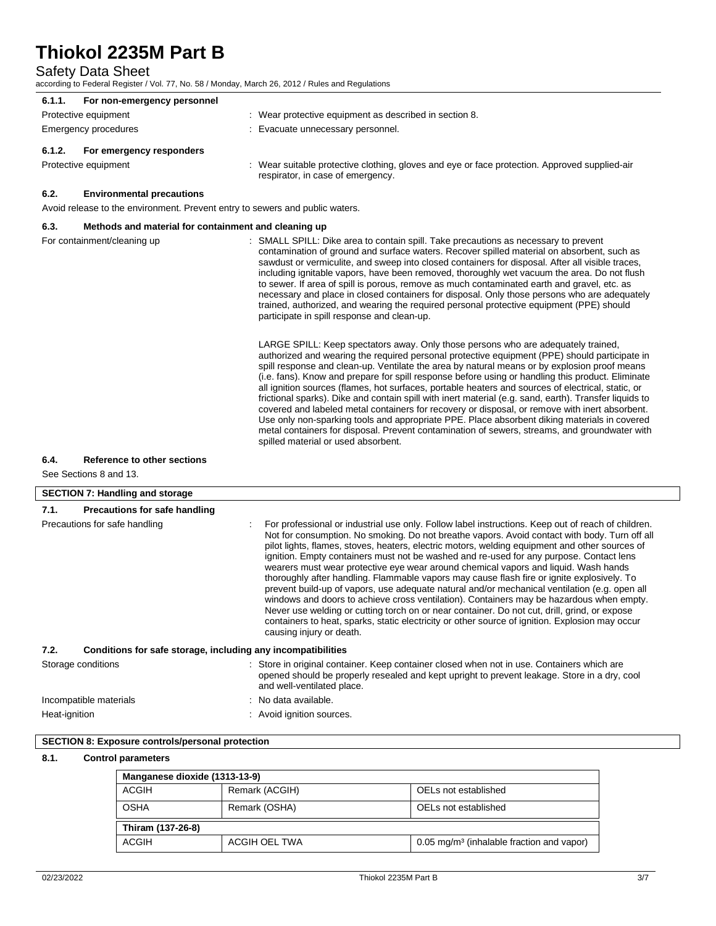Safety Data Sheet

according to Federal Register / Vol. 77, No. 58 / Monday, March 26, 2012 / Rules and Regulations

| 6.1.1.<br>For non-emergency personnel                                        |                                                                                                                                                                                                                                                                                                                                                                                                                                                                                                                                                                                                                                                                                                                                                                                                                                                                                                                                                                                                                   |
|------------------------------------------------------------------------------|-------------------------------------------------------------------------------------------------------------------------------------------------------------------------------------------------------------------------------------------------------------------------------------------------------------------------------------------------------------------------------------------------------------------------------------------------------------------------------------------------------------------------------------------------------------------------------------------------------------------------------------------------------------------------------------------------------------------------------------------------------------------------------------------------------------------------------------------------------------------------------------------------------------------------------------------------------------------------------------------------------------------|
| Protective equipment                                                         | : Wear protective equipment as described in section 8.                                                                                                                                                                                                                                                                                                                                                                                                                                                                                                                                                                                                                                                                                                                                                                                                                                                                                                                                                            |
| Emergency procedures                                                         | : Evacuate unnecessary personnel.                                                                                                                                                                                                                                                                                                                                                                                                                                                                                                                                                                                                                                                                                                                                                                                                                                                                                                                                                                                 |
| 6.1.2.<br>For emergency responders                                           |                                                                                                                                                                                                                                                                                                                                                                                                                                                                                                                                                                                                                                                                                                                                                                                                                                                                                                                                                                                                                   |
| Protective equipment                                                         | : Wear suitable protective clothing, gloves and eye or face protection. Approved supplied-air<br>respirator, in case of emergency.                                                                                                                                                                                                                                                                                                                                                                                                                                                                                                                                                                                                                                                                                                                                                                                                                                                                                |
| 6.2.<br><b>Environmental precautions</b>                                     |                                                                                                                                                                                                                                                                                                                                                                                                                                                                                                                                                                                                                                                                                                                                                                                                                                                                                                                                                                                                                   |
| Avoid release to the environment. Prevent entry to sewers and public waters. |                                                                                                                                                                                                                                                                                                                                                                                                                                                                                                                                                                                                                                                                                                                                                                                                                                                                                                                                                                                                                   |
| 6.3.<br>Methods and material for containment and cleaning up                 |                                                                                                                                                                                                                                                                                                                                                                                                                                                                                                                                                                                                                                                                                                                                                                                                                                                                                                                                                                                                                   |
| For containment/cleaning up                                                  | : SMALL SPILL: Dike area to contain spill. Take precautions as necessary to prevent<br>contamination of ground and surface waters. Recover spilled material on absorbent, such as<br>sawdust or vermiculite, and sweep into closed containers for disposal. After all visible traces,<br>including ignitable vapors, have been removed, thoroughly wet vacuum the area. Do not flush<br>to sewer. If area of spill is porous, remove as much contaminated earth and gravel, etc. as<br>necessary and place in closed containers for disposal. Only those persons who are adequately<br>trained, authorized, and wearing the required personal protective equipment (PPE) should<br>participate in spill response and clean-up.                                                                                                                                                                                                                                                                                    |
|                                                                              | LARGE SPILL: Keep spectators away. Only those persons who are adequately trained,<br>authorized and wearing the required personal protective equipment (PPE) should participate in<br>spill response and clean-up. Ventilate the area by natural means or by explosion proof means<br>(i.e. fans). Know and prepare for spill response before using or handling this product. Eliminate<br>all ignition sources (flames, hot surfaces, portable heaters and sources of electrical, static, or<br>frictional sparks). Dike and contain spill with inert material (e.g. sand, earth). Transfer liquids to<br>covered and labeled metal containers for recovery or disposal, or remove with inert absorbent.<br>Use only non-sparking tools and appropriate PPE. Place absorbent diking materials in covered<br>metal containers for disposal. Prevent contamination of sewers, streams, and groundwater with<br>spilled material or used absorbent.                                                                 |
| 6.4.<br>Reference to other sections                                          |                                                                                                                                                                                                                                                                                                                                                                                                                                                                                                                                                                                                                                                                                                                                                                                                                                                                                                                                                                                                                   |
| See Sections 8 and 13.                                                       |                                                                                                                                                                                                                                                                                                                                                                                                                                                                                                                                                                                                                                                                                                                                                                                                                                                                                                                                                                                                                   |
| <b>SECTION 7: Handling and storage</b>                                       |                                                                                                                                                                                                                                                                                                                                                                                                                                                                                                                                                                                                                                                                                                                                                                                                                                                                                                                                                                                                                   |
|                                                                              |                                                                                                                                                                                                                                                                                                                                                                                                                                                                                                                                                                                                                                                                                                                                                                                                                                                                                                                                                                                                                   |
| 7.1.                                                                         |                                                                                                                                                                                                                                                                                                                                                                                                                                                                                                                                                                                                                                                                                                                                                                                                                                                                                                                                                                                                                   |
| Precautions for safe handling<br>Precautions for safe handling               | For professional or industrial use only. Follow label instructions. Keep out of reach of children.<br>Not for consumption. No smoking. Do not breathe vapors. Avoid contact with body. Turn off all<br>pilot lights, flames, stoves, heaters, electric motors, welding equipment and other sources of<br>ignition. Empty containers must not be washed and re-used for any purpose. Contact lens<br>wearers must wear protective eye wear around chemical vapors and liquid. Wash hands<br>thoroughly after handling. Flammable vapors may cause flash fire or ignite explosively. To<br>prevent build-up of vapors, use adequate natural and/or mechanical ventilation (e.g. open all<br>windows and doors to achieve cross ventilation). Containers may be hazardous when empty.<br>Never use welding or cutting torch on or near container. Do not cut, drill, grind, or expose<br>containers to heat, sparks, static electricity or other source of ignition. Explosion may occur<br>causing injury or death. |
| Conditions for safe storage, including any incompatibilities                 |                                                                                                                                                                                                                                                                                                                                                                                                                                                                                                                                                                                                                                                                                                                                                                                                                                                                                                                                                                                                                   |
|                                                                              | : Store in original container. Keep container closed when not in use. Containers which are<br>opened should be properly resealed and kept upright to prevent leakage. Store in a dry, cool<br>and well-ventilated place.                                                                                                                                                                                                                                                                                                                                                                                                                                                                                                                                                                                                                                                                                                                                                                                          |
| 7.2.<br>Storage conditions<br>Incompatible materials                         | : No data available.                                                                                                                                                                                                                                                                                                                                                                                                                                                                                                                                                                                                                                                                                                                                                                                                                                                                                                                                                                                              |

## **8.1. Control parameters**

| Manganese dioxide (1313-13-9) |                                       |                                                         |  |
|-------------------------------|---------------------------------------|---------------------------------------------------------|--|
| ACGIH                         | Remark (ACGIH)                        | OELs not established                                    |  |
| <b>OSHA</b>                   | OELs not established<br>Remark (OSHA) |                                                         |  |
| Thiram (137-26-8)             |                                       |                                                         |  |
| ACGIH                         | ACGIH OEL TWA                         | $0.05$ mg/m <sup>3</sup> (inhalable fraction and vapor) |  |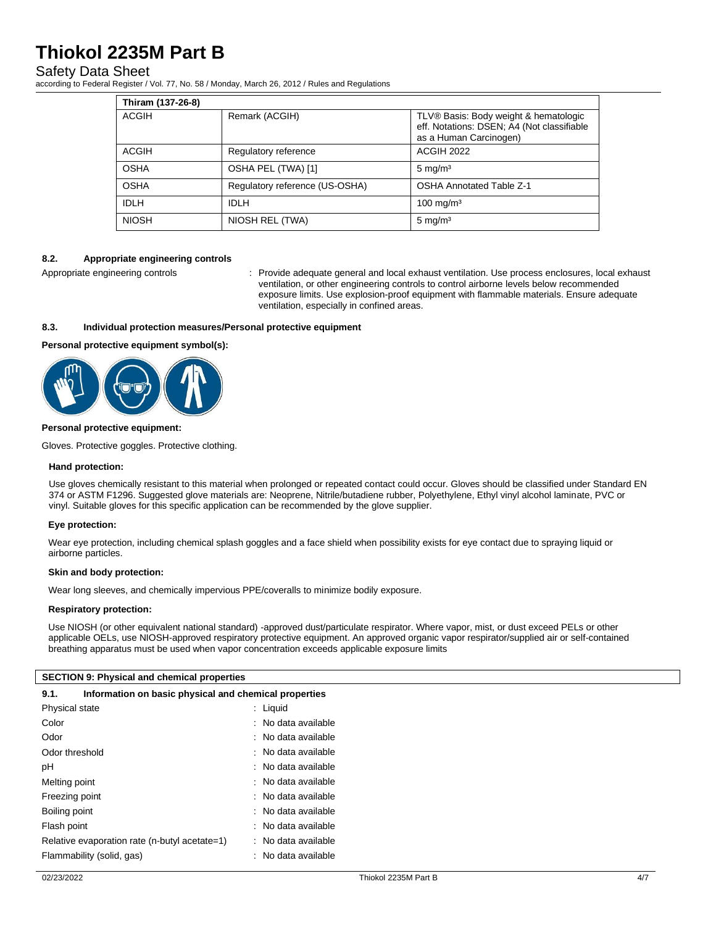### Safety Data Sheet

according to Federal Register / Vol. 77, No. 58 / Monday, March 26, 2012 / Rules and Regulations

| Thiram (137-26-8) |                                |                                                                                                               |
|-------------------|--------------------------------|---------------------------------------------------------------------------------------------------------------|
| ACGIH             | Remark (ACGIH)                 | TLV® Basis: Body weight & hematologic<br>eff. Notations: DSEN; A4 (Not classifiable<br>as a Human Carcinogen) |
| ACGIH             | Regulatory reference           | <b>ACGIH 2022</b>                                                                                             |
| <b>OSHA</b>       | OSHA PEL (TWA) [1]             | $5 \text{ mg/m}^3$                                                                                            |
| <b>OSHA</b>       | Regulatory reference (US-OSHA) | <b>OSHA Annotated Table Z-1</b>                                                                               |
| <b>IDLH</b>       | <b>IDLH</b>                    | $100 \text{ mg/m}^3$                                                                                          |
| <b>NIOSH</b>      | NIOSH REL (TWA)                | $5 \text{ mg/m}^3$                                                                                            |

#### **8.2. Appropriate engineering controls**

Appropriate engineering controls : Provide adequate general and local exhaust ventilation. Use process enclosures, local exhaust ventilation, or other engineering controls to control airborne levels below recommended exposure limits. Use explosion-proof equipment with flammable materials. Ensure adequate ventilation, especially in confined areas.

#### **8.3. Individual protection measures/Personal protective equipment**

#### **Personal protective equipment symbol(s):**



#### **Personal protective equipment:**

Gloves. Protective goggles. Protective clothing.

#### **Hand protection:**

Use gloves chemically resistant to this material when prolonged or repeated contact could occur. Gloves should be classified under Standard EN 374 or ASTM F1296. Suggested glove materials are: Neoprene, Nitrile/butadiene rubber, Polyethylene, Ethyl vinyl alcohol laminate, PVC or vinyl. Suitable gloves for this specific application can be recommended by the glove supplier.

#### **Eye protection:**

Wear eye protection, including chemical splash goggles and a face shield when possibility exists for eye contact due to spraying liquid or airborne particles.

#### **Skin and body protection:**

Wear long sleeves, and chemically impervious PPE/coveralls to minimize bodily exposure.

#### **Respiratory protection:**

Use NIOSH (or other equivalent national standard) -approved dust/particulate respirator. Where vapor, mist, or dust exceed PELs or other applicable OELs, use NIOSH-approved respiratory protective equipment. An approved organic vapor respirator/supplied air or self-contained breathing apparatus must be used when vapor concentration exceeds applicable exposure limits

#### **SECTION 9: Physical and chemical properties**

| 9.1. | Information on basic physical and chemical properties |  |  |  |
|------|-------------------------------------------------------|--|--|--|
|------|-------------------------------------------------------|--|--|--|

| Physical state                                | : Liquid            |
|-----------------------------------------------|---------------------|
| Color                                         | : No data available |
| Odor                                          | : No data available |
| Odor threshold                                | : No data available |
| рH                                            | : No data available |
| Melting point                                 | : No data available |
| Freezing point                                | : No data available |
| Boiling point                                 | : No data available |
| Flash point                                   | : No data available |
| Relative evaporation rate (n-butyl acetate=1) | : No data available |
| Flammability (solid, gas)                     | : No data available |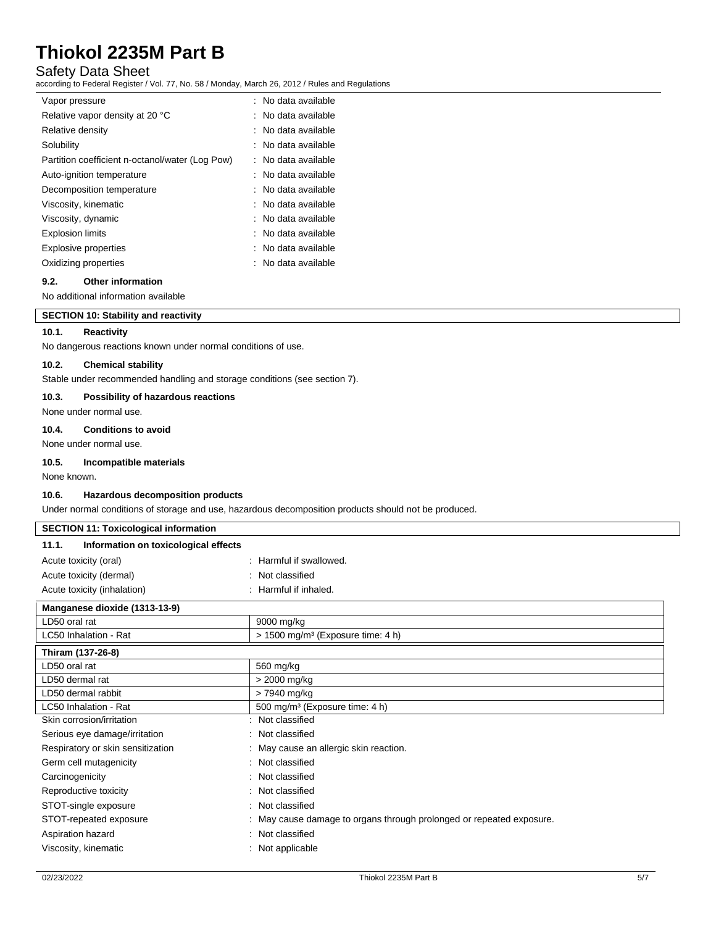## Safety Data Sheet

according to Federal Register / Vol. 77, No. 58 / Monday, March 26, 2012 / Rules and Regulations

| Vapor pressure                                  | : No data available             |
|-------------------------------------------------|---------------------------------|
| Relative vapor density at 20 °C                 | $:$ No data available           |
| Relative density                                | $\therefore$ No data available. |
| Solubility                                      | : No data available             |
| Partition coefficient n-octanol/water (Log Pow) | : No data available             |
| Auto-ignition temperature                       | : No data available             |
| Decomposition temperature                       | : No data available             |
| Viscosity, kinematic                            | : No data available             |
| Viscosity, dynamic                              | : No data available             |
| <b>Explosion limits</b>                         | : No data available             |
| <b>Explosive properties</b>                     | : No data available             |
| Oxidizing properties                            | : No data available             |

#### **9.2. Other information**

No additional information available

## **SECTION 10: Stability and reactivity**

#### **10.1. Reactivity**

No dangerous reactions known under normal conditions of use.

#### **10.2. Chemical stability**

Stable under recommended handling and storage conditions (see section 7).

#### **10.3. Possibility of hazardous reactions**

None under normal use.

#### **10.4. Conditions to avoid**

None under normal use.

#### **10.5. Incompatible materials**

None known.

#### **10.6. Hazardous decomposition products**

Under normal conditions of storage and use, hazardous decomposition products should not be produced.

| <b>SECTION 11: Toxicological information</b>  |                                                                                         |
|-----------------------------------------------|-----------------------------------------------------------------------------------------|
| Information on toxicological effects<br>11.1. |                                                                                         |
| Acute toxicity (oral)                         | : Harmful if swallowed.                                                                 |
| Acute toxicity (dermal)                       | : Not classified                                                                        |
| Acute toxicity (inhalation)                   | : Harmful if inhaled.                                                                   |
| Manganese dioxide (1313-13-9)                 |                                                                                         |
| LD50 oral rat                                 | 9000 mg/kg                                                                              |
| LC50 Inhalation - Rat                         | $> 1500$ mg/m <sup>3</sup> (Exposure time: 4 h)                                         |
| Thiram (137-26-8)                             |                                                                                         |
| LD50 oral rat                                 | 560 mg/kg                                                                               |
| LD50 dermal rat                               | > 2000 mg/kg                                                                            |
| LD50 dermal rabbit                            | > 7940 mg/kg                                                                            |
| LC50 Inhalation - Rat                         | 500 mg/m <sup>3</sup> (Exposure time: 4 h)                                              |
| Skin corrosion/irritation                     | : Not classified                                                                        |
| Serious eye damage/irritation                 | : Not classified                                                                        |
| Respiratory or skin sensitization             | : May cause an allergic skin reaction.                                                  |
| Germ cell mutagenicity                        | : Not classified                                                                        |
|                                               | $\mathbf{a}$ , $\mathbf{a}$ , $\mathbf{a}$ , $\mathbf{a}$ , $\mathbf{a}$ , $\mathbf{a}$ |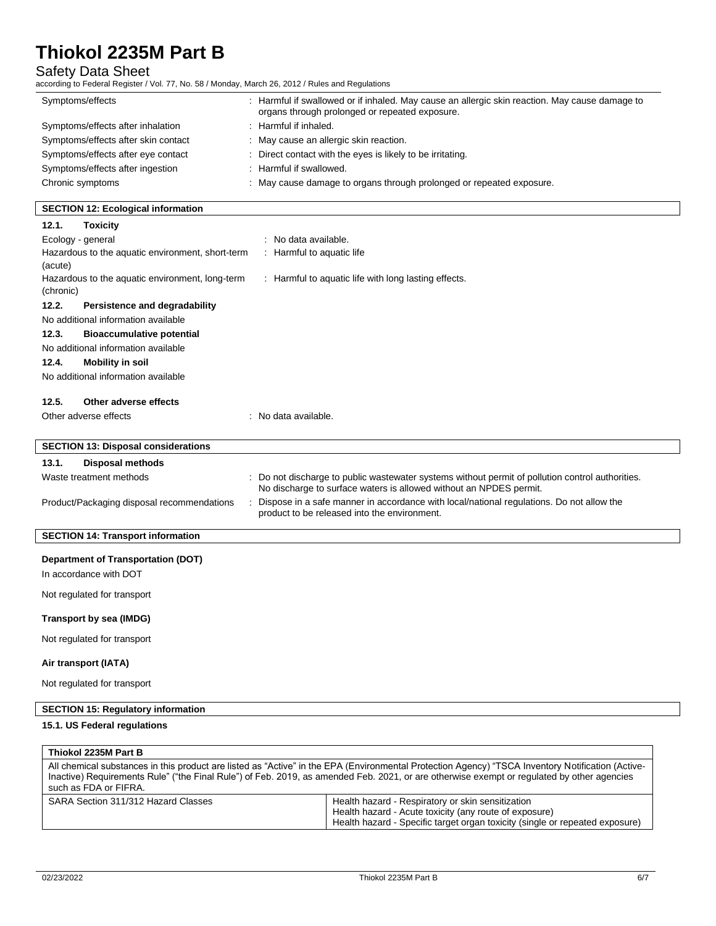# Safety Data Sheet<br>according to Federal Register / V

according to Federal Register / Vol. 77, No. 58 / Monday, March 26, 2012 / Rules and Regulations

| according to Federal Register / Vol. 77, No. 30 / Monday, March 20, 2012 / Rules and Regulations |                                                                                                                                                                        |
|--------------------------------------------------------------------------------------------------|------------------------------------------------------------------------------------------------------------------------------------------------------------------------|
| Symptoms/effects                                                                                 | : Harmful if swallowed or if inhaled. May cause an allergic skin reaction. May cause damage to<br>organs through prolonged or repeated exposure.                       |
| Symptoms/effects after inhalation                                                                | : Harmful if inhaled.                                                                                                                                                  |
| Symptoms/effects after skin contact                                                              | : May cause an allergic skin reaction.                                                                                                                                 |
| Symptoms/effects after eye contact                                                               | : Direct contact with the eyes is likely to be irritating.                                                                                                             |
| Symptoms/effects after ingestion                                                                 | : Harmful if swallowed.                                                                                                                                                |
| Chronic symptoms                                                                                 | : May cause damage to organs through prolonged or repeated exposure.                                                                                                   |
| <b>SECTION 12: Ecological information</b>                                                        |                                                                                                                                                                        |
| 12.1.<br><b>Toxicity</b>                                                                         |                                                                                                                                                                        |
| Ecology - general                                                                                | : No data available.                                                                                                                                                   |
| Hazardous to the aquatic environment, short-term<br>(acute)                                      | : Harmful to aquatic life                                                                                                                                              |
| Hazardous to the aquatic environment, long-term<br>(chronic)                                     | : Harmful to aquatic life with long lasting effects.                                                                                                                   |
| 12.2.<br>Persistence and degradability                                                           |                                                                                                                                                                        |
| No additional information available                                                              |                                                                                                                                                                        |
| 12.3.<br><b>Bioaccumulative potential</b>                                                        |                                                                                                                                                                        |
| No additional information available                                                              |                                                                                                                                                                        |
| 12.4.<br><b>Mobility in soil</b>                                                                 |                                                                                                                                                                        |
| No additional information available                                                              |                                                                                                                                                                        |
| 12.5.<br>Other adverse effects                                                                   |                                                                                                                                                                        |
| Other adverse effects                                                                            | : No data available.                                                                                                                                                   |
| <b>SECTION 13: Disposal considerations</b>                                                       |                                                                                                                                                                        |
| 13.1.<br><b>Disposal methods</b>                                                                 |                                                                                                                                                                        |
| Waste treatment methods                                                                          | : Do not discharge to public wastewater systems without permit of pollution control authorities.<br>No discharge to surface waters is allowed without an NPDES permit. |
| Product/Packaging disposal recommendations                                                       | Dispose in a safe manner in accordance with local/national regulations. Do not allow the<br>product to be released into the environment.                               |
| <b>SECTION 14: Transport information</b>                                                         |                                                                                                                                                                        |
| <b>Department of Transportation (DOT)</b>                                                        |                                                                                                                                                                        |
| In accordance with DOT                                                                           |                                                                                                                                                                        |
|                                                                                                  |                                                                                                                                                                        |
| Not regulated for transport                                                                      |                                                                                                                                                                        |

## **Transport by sea (IMDG)**

Not regulated for transport

## **Air transport (IATA)**

Not regulated for transport

## **SECTION 15: Regulatory information**

### **15.1. US Federal regulations**

| Thiokol 2235M Part B                                                                                                                                                                                                                                                                                                     |                                                                                                                                                                                             |  |
|--------------------------------------------------------------------------------------------------------------------------------------------------------------------------------------------------------------------------------------------------------------------------------------------------------------------------|---------------------------------------------------------------------------------------------------------------------------------------------------------------------------------------------|--|
| All chemical substances in this product are listed as "Active" in the EPA (Environmental Protection Agency) "TSCA Inventory Notification (Active-<br>Inactive) Requirements Rule" ("the Final Rule") of Feb. 2019, as amended Feb. 2021, or are otherwise exempt or regulated by other agencies<br>such as FDA or FIFRA. |                                                                                                                                                                                             |  |
| SARA Section 311/312 Hazard Classes                                                                                                                                                                                                                                                                                      | Health hazard - Respiratory or skin sensitization<br>Health hazard - Acute toxicity (any route of exposure)<br>Health hazard - Specific target organ toxicity (single or repeated exposure) |  |